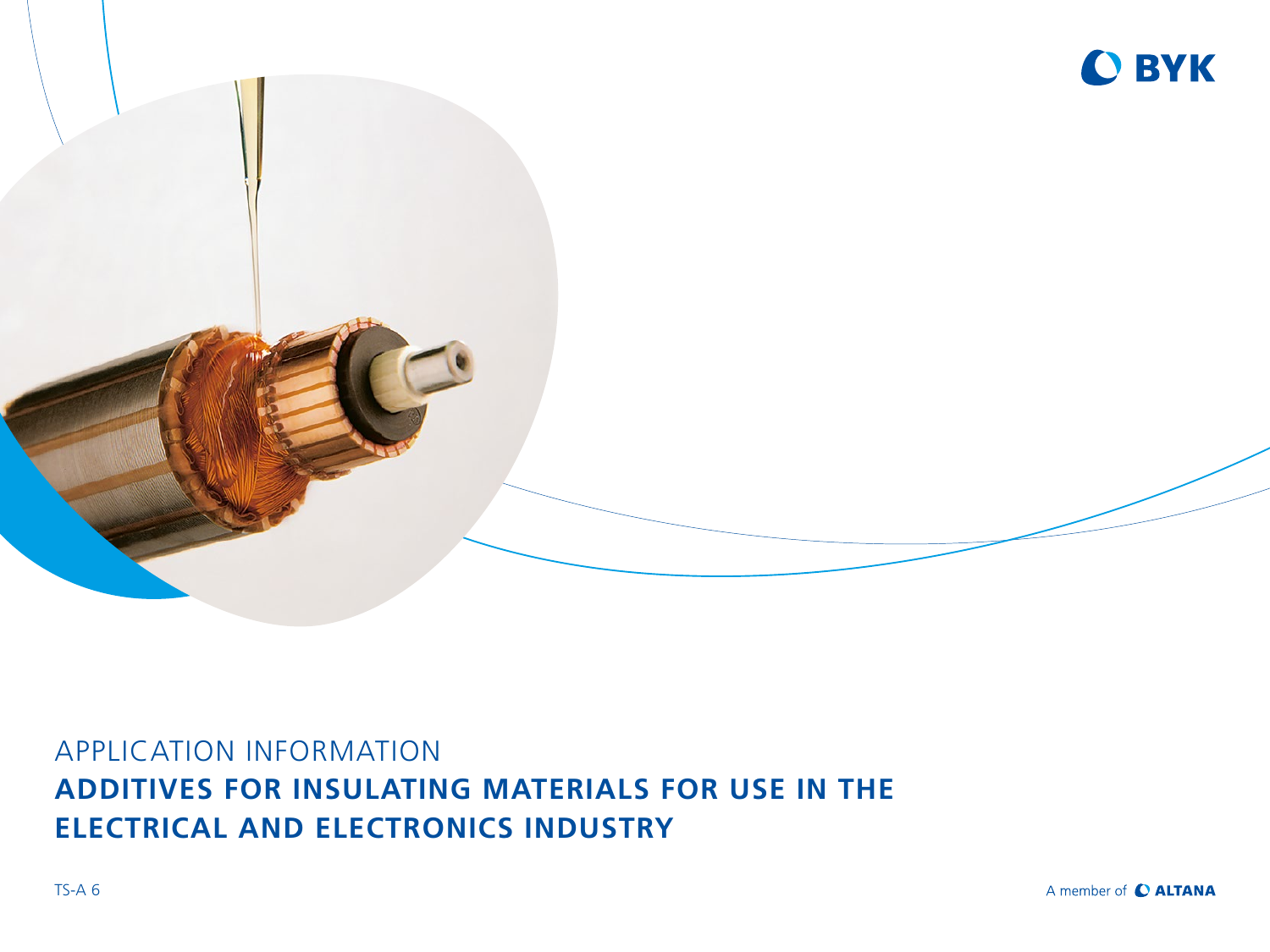

# APPLICATION INFORMATION **ADDITIVES FOR INSULATING MATERIALS FOR USE IN THE ELECTRICAL AND ELECTRONICS INDUSTRY**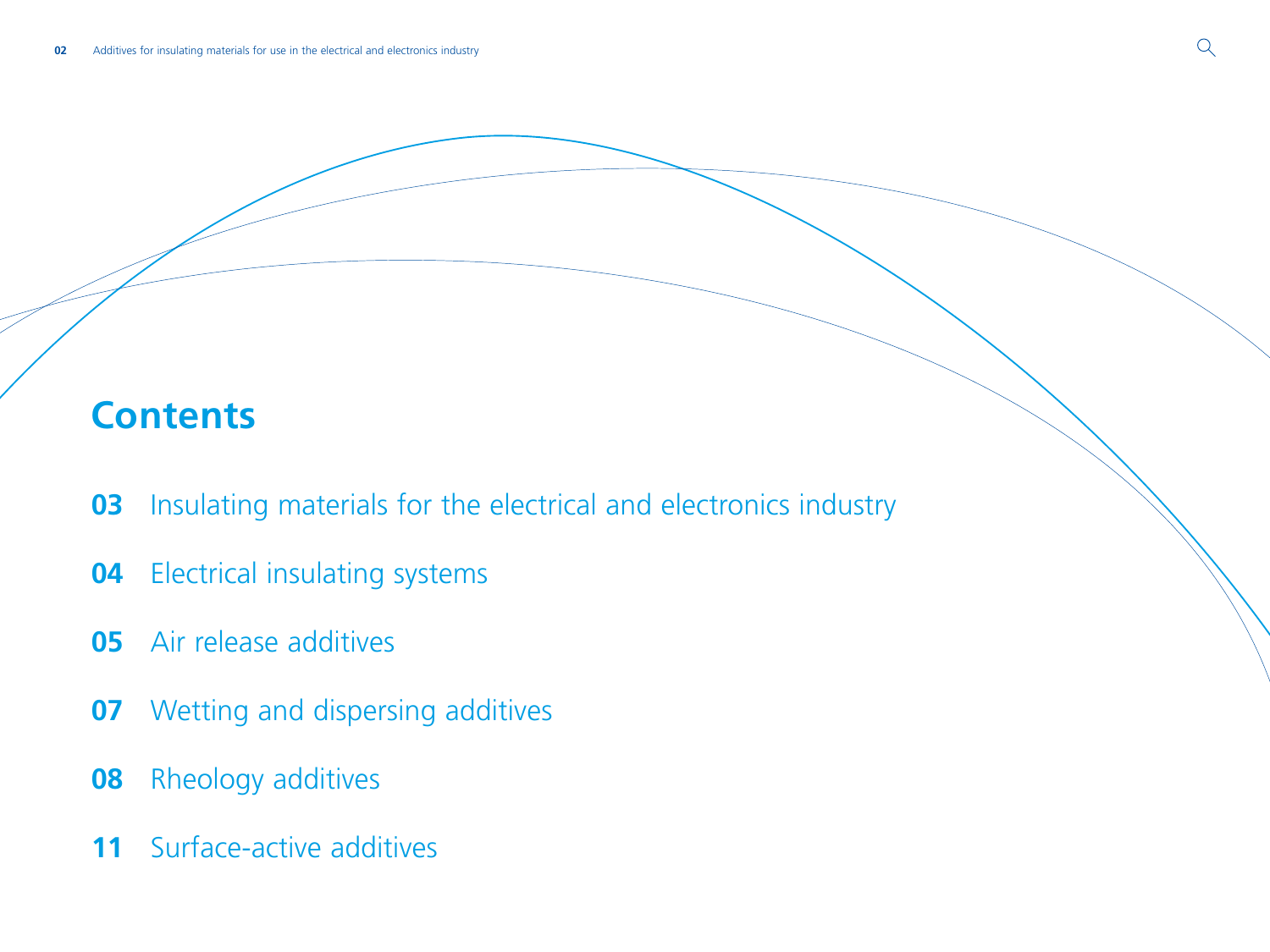# **Contents**

- [Insulating materials for the electrical and electronics industry](#page-2-0)
- [Electrical insulating systems](#page-3-0)
- [Air release additives](#page-4-0)
- [Wetting and dispersing additives](#page-6-0)
- [Rheology additives](#page-7-0)
- [Surface-active additives](#page-10-0)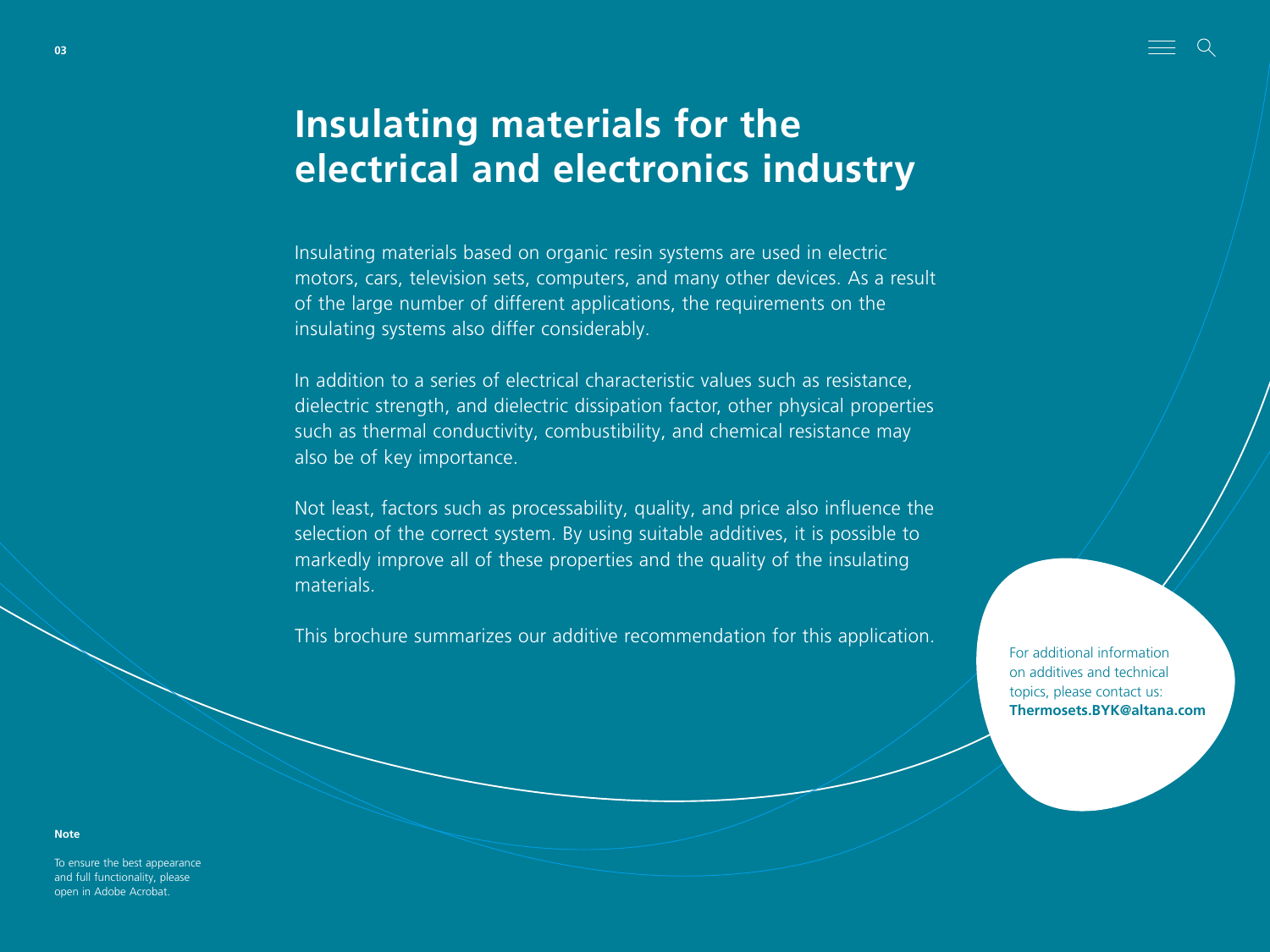# <span id="page-2-0"></span>**Insulating materials for the electrical and electronics industry**

Insulating materials based on organic resin systems are used in electric motors, cars, television sets, computers, and many other devices. As a result of the large number of different applications, the requirements on the insulating systems also differ considerably.

In addition to a series of electrical characteristic values such as resistance, dielectric strength, and dielectric dissipation factor, other physical properties such as thermal conductivity, combustibility, and chemical resistance may also be of key importance.

Not least, factors such as processability, quality, and price also influence the selection of the correct system. By using suitable additives, it is possible to markedly improve all of these properties and the quality of the insulating materials.

This brochure summarizes our additive recommendation for this application.

For additional information on additives and technical topics, please contact us: **Thermosets.BYK@altana.com**

To ensure the best appearance and full functionality, please open in Adobe Acrobat.

**Note**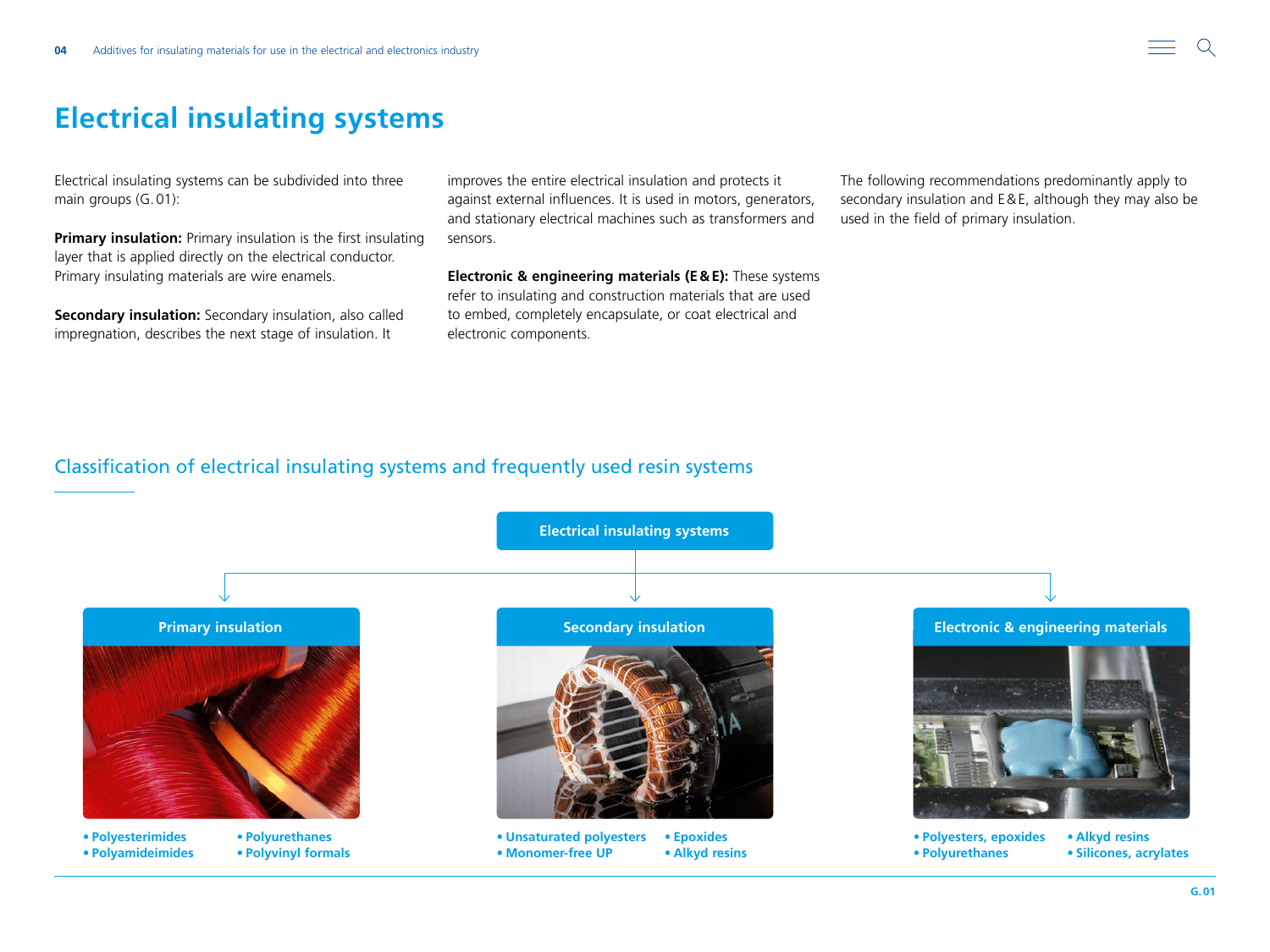# <span id="page-3-0"></span>**Electrical insulating systems**

Electrical insulating systems can be subdivided into three main groups (G.01):

**Primary insulation:** Primary insulation is the first insulating layer that is applied directly on the electrical conductor. Primary insulating materials are wire enamels.

**Secondary insulation:** Secondary insulation, also called impregnation, describes the next stage of insulation. It

improves the entire electrical insulation and protects it against external influences. It is used in motors, generators, and stationary electrical machines such as transformers and sensors.

**Electronic & engineering materials (E&E):** These systems refer to insulating and construction materials that are used to embed, completely encapsulate, or coat electrical and electronic components.

The following recommendations predominantly apply to secondary insulation and E&E, although they may also be used in the field of primary insulation.

# Classification of electrical insulating systems and frequently used resin systems

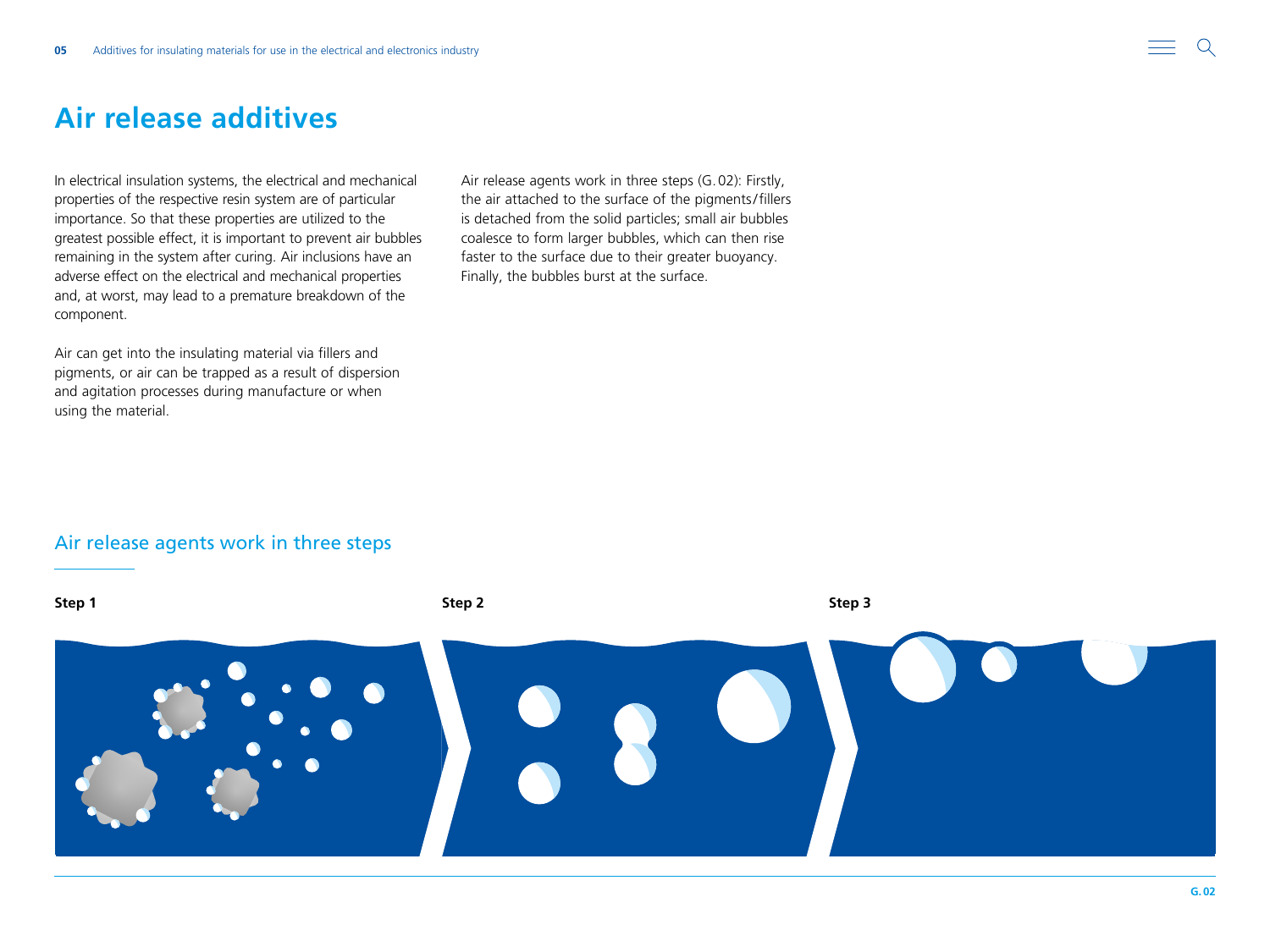# <span id="page-4-0"></span>**Air release additives**

In electrical insulation systems, the electrical and mechanical properties of the respective resin system are of particular importance. So that these properties are utilized to the greatest possible effect, it is important to prevent air bubbles remaining in the system after curing. Air inclusions have an adverse effect on the electrical and mechanical properties and, at worst, may lead to a premature breakdown of the component.

Air can get into the insulating material via fillers and pigments, or air can be trapped as a result of dispersion and agitation processes during manufacture or when using the material.

Air release agents work in three steps (G.02): Firstly, the air attached to the surface of the pigments/fillers is detached from the solid particles; small air bubbles coalesce to form larger bubbles, which can then rise faster to the surface due to their greater buoyancy. Finally, the bubbles burst at the surface.

## Air release agents work in three steps

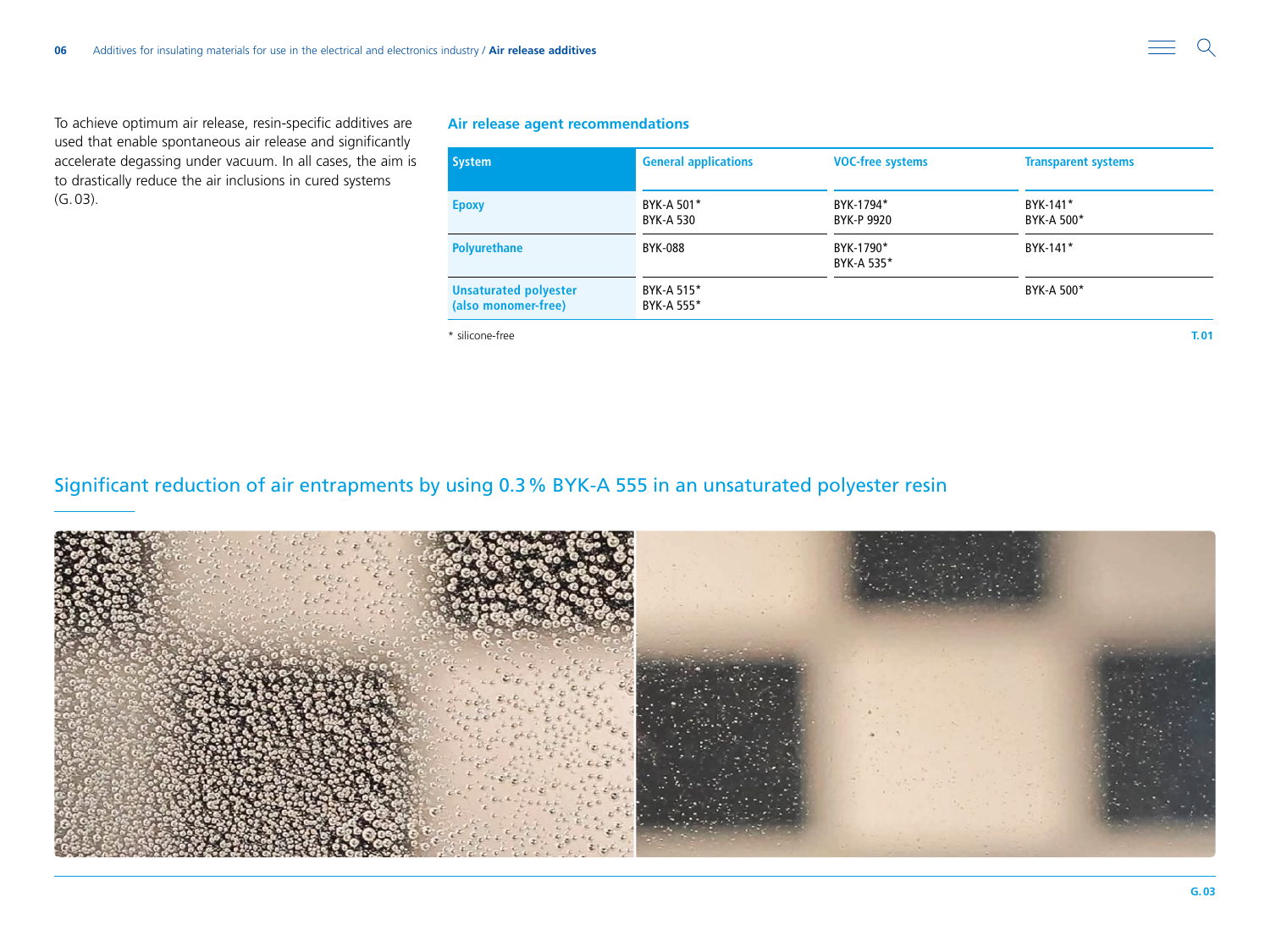To achieve optimum air release, resin-specific additives are used that enable spontaneous air release and significantly accelerate degassing under vacuum. In all cases, the aim is to drastically reduce the air inclusions in cured systems (G.03).

## **Air release agent recommendations**

| System                                              | <b>General applications</b> | <b>VOC-free systems</b> | <b>Transparent systems</b> |  |
|-----------------------------------------------------|-----------------------------|-------------------------|----------------------------|--|
| <b>Epoxy</b>                                        | BYK-A 501*<br>BYK-A 530     | BYK-1794*<br>BYK-P 9920 | BYK-141*<br>BYK-A 500*     |  |
| <b>Polyurethane</b>                                 | <b>BYK-088</b>              | BYK-1790*<br>BYK-A 535* | BYK-141*                   |  |
| <b>Unsaturated polyester</b><br>(also monomer-free) | BYK-A 515*<br>BYK-A 555*    |                         | BYK-A 500*                 |  |
|                                                     |                             |                         |                            |  |

\* silicone-free **T.01**

## Significant reduction of air entrapments by using 0.3% BYK-A 555 in an unsaturated polyester resin

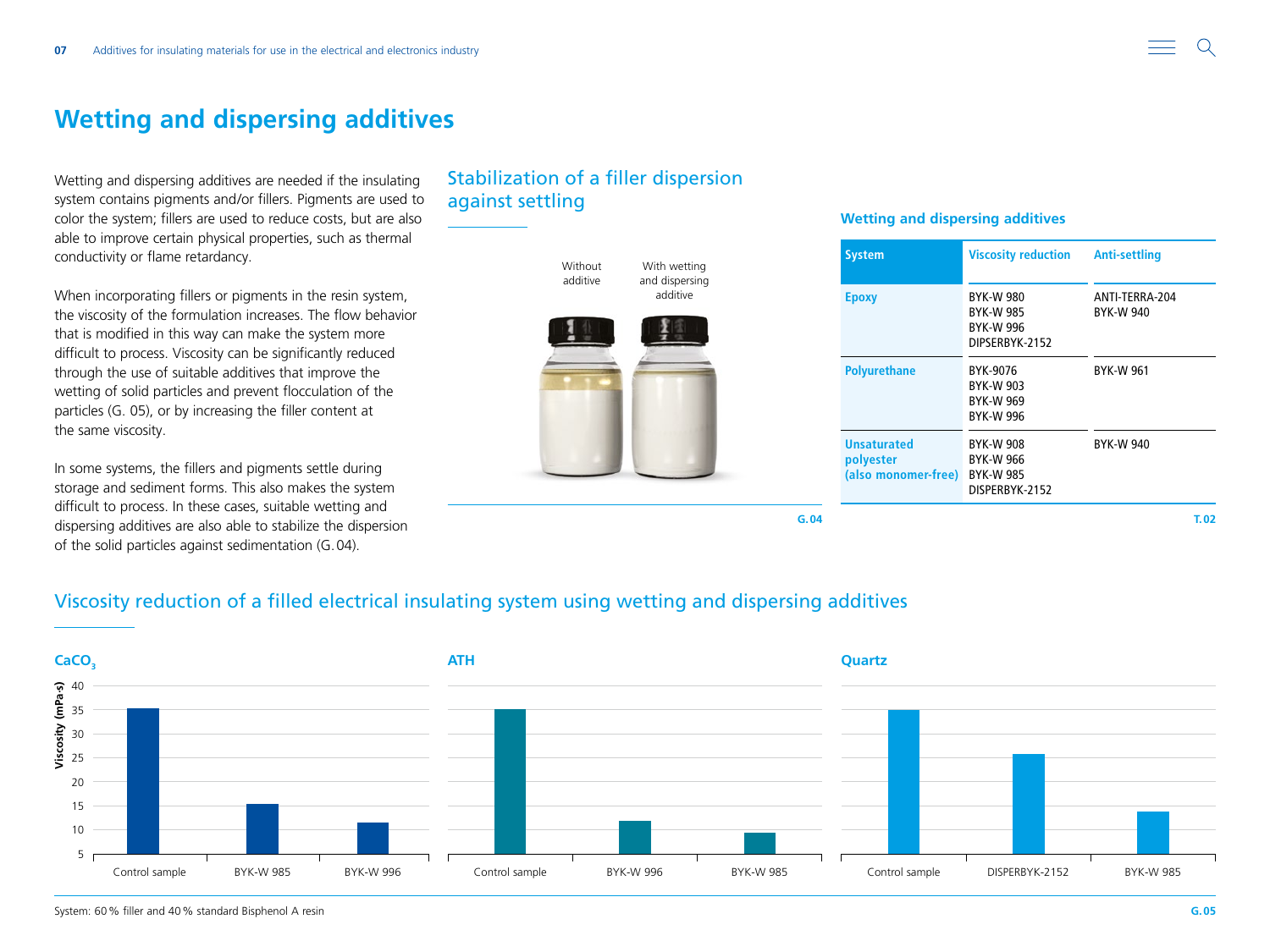# <span id="page-6-0"></span>**Wetting and dispersing additives**

Wetting and dispersing additives are needed if the insulating system contains pigments and/or fillers. Pigments are used to color the system; fillers are used to reduce costs, but are also able to improve certain physical properties, such as thermal conductivity or flame retardancy.

When incorporating fillers or pigments in the resin system, the viscosity of the formulation increases. The flow behavior that is modified in this way can make the system more difficult to process. Viscosity can be significantly reduced through the use of suitable additives that improve the wetting of solid particles and prevent flocculation of the particles (G. 05), or by increasing the filler content at the same viscosity.

In some systems, the fillers and pigments settle during storage and sediment forms. This also makes the system difficult to process. In these cases, suitable wetting and dispersing additives are also able to stabilize the dispersion of the solid particles against sedimentation (G.04).

# Stabilization of a filler dispersion against settling

### **System Viscosity reduction Anti-settling Epoxy** BYK-W 980 BYK-W 985 BYK-W 996 DIPSERBYK-2152 ANTI-TERRA-204 BYK-W 940 **Polyurethane** BYK-9076 BYK-W 903 BYK-W 969 BYK-W 996 BYK-W 961 **Unsaturated polyester (also monomer-free)** BYK-W 985 BYK-W 908 BYK-W 966 DISPERBYK-2152 BYK-W 940 **T.02 Without** additive With wetting and dispersing additive **G.04**

**Wetting and dispersing additives**

# Viscosity reduction of a filled electrical insulating system using wetting and dispersing additives

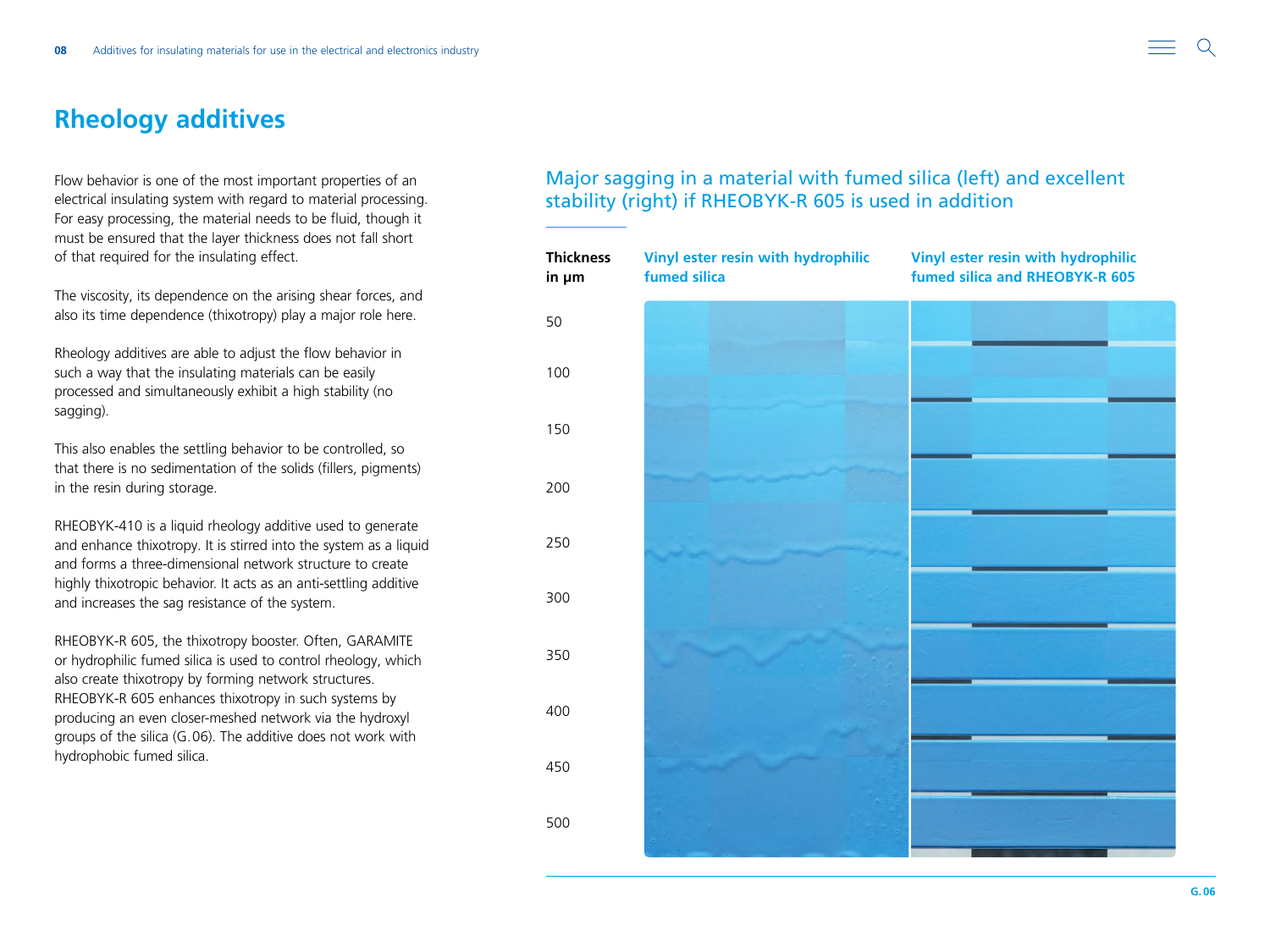# <span id="page-7-0"></span>**Rheology additives**

Flow behavior is one of the most important properties of an electrical insulating system with regard to material processing. For easy processing, the material needs to be fluid, though it must be ensured that the layer thickness does not fall short of that required for the insulating effect.

The viscosity, its dependence on the arising shear forces, and also its time dependence (thixotropy) play a major role here.

Rheology additives are able to adjust the flow behavior in such a way that the insulating materials can be easily processed and simultaneously exhibit a high stability (no sagging).

This also enables the settling behavior to be controlled, so that there is no sedimentation of the solids (fillers, pigments) in the resin during storage.

RHEOBYK-410 is a liquid rheology additive used to generate and enhance thixotropy. It is stirred into the system as a liquid and forms a three-dimensional network structure to create highly thixotropic behavior. It acts as an anti-settling additive and increases the sag resistance of the system.

RHEOBYK-R 605, the thixotropy booster. Often, GARAMITE or hydrophilic fumed silica is used to control rheology, which also create thixotropy by forming network structures. RHEOBYK-R 605 enhances thixotropy in such systems by producing an even closer-meshed network via the hydroxyl groups of the silica (G.06). The additive does not work with hydrophobic fumed silica.

Major sagging in a material with fumed silica (left) and excellent stability (right) if RHEOBYK-R 605 is used in addition

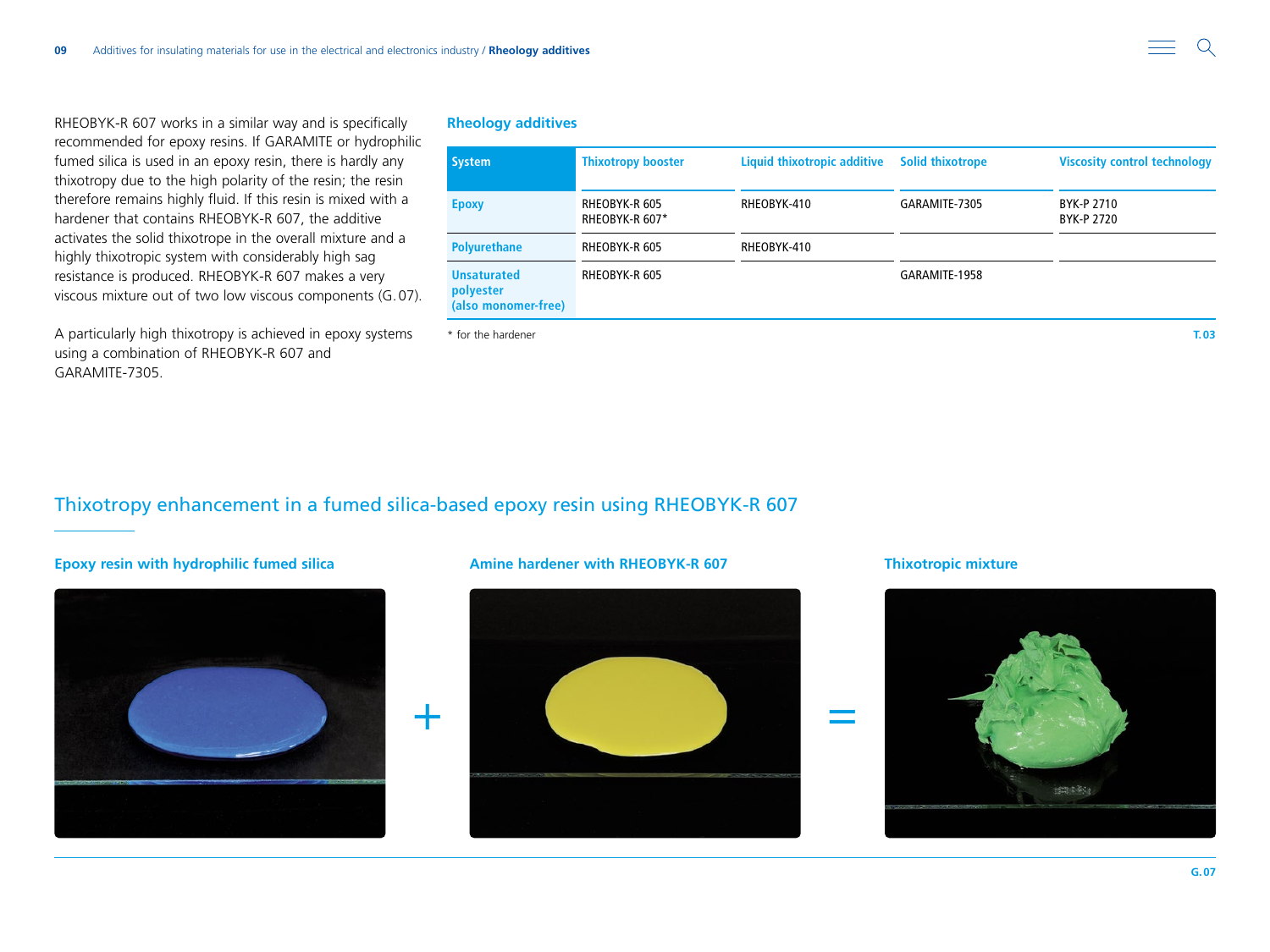RHEOBYK-R 607 works in a similar way and is specifically recommended for epoxy resins. If GARAMITE or hydrophilic fumed silica is used in an epoxy resin, there is hardly any thixotropy due to the high polarity of the resin; the resin therefore remains highly fluid. If this resin is mixed with a hardener that contains RHEOBYK-R 607, the additive activates the solid thixotrope in the overall mixture and a highly thixotropic system with considerably high sag resistance is produced. RHEOBYK-R 607 makes a very viscous mixture out of two low viscous components (G.07).

A particularly high thixotropy is achieved in epoxy systems using a combination of RHEOBYK-R 607 and GARAMITE-7305.

### **Rheology additives**

| <b>System</b>                                          | <b>Thixotropy booster</b>       | <b>Liquid thixotropic additive</b> | <b>Solid thixotrope</b> | <b>Viscosity control technology</b> |
|--------------------------------------------------------|---------------------------------|------------------------------------|-------------------------|-------------------------------------|
| <b>Epoxy</b>                                           | RHEOBYK-R 605<br>RHEOBYK-R 607* | RHEOBYK-410                        | GARAMITE-7305           | BYK-P 2710<br>BYK-P 2720            |
| <b>Polyurethane</b>                                    | RHEOBYK-R 605                   | RHEOBYK-410                        |                         |                                     |
| <b>Unsaturated</b><br>polyester<br>(also monomer-free) | RHEOBYK-R 605                   |                                    | GARAMITE-1958           |                                     |

\* for the hardener **T.03**

## Thixotropy enhancement in a fumed silica-based epoxy resin using RHEOBYK-R 607

## **Epoxy resin with hydrophilic fumed silica Amine hardener with RHEOBYK-R 607 Thixotropic mixture**





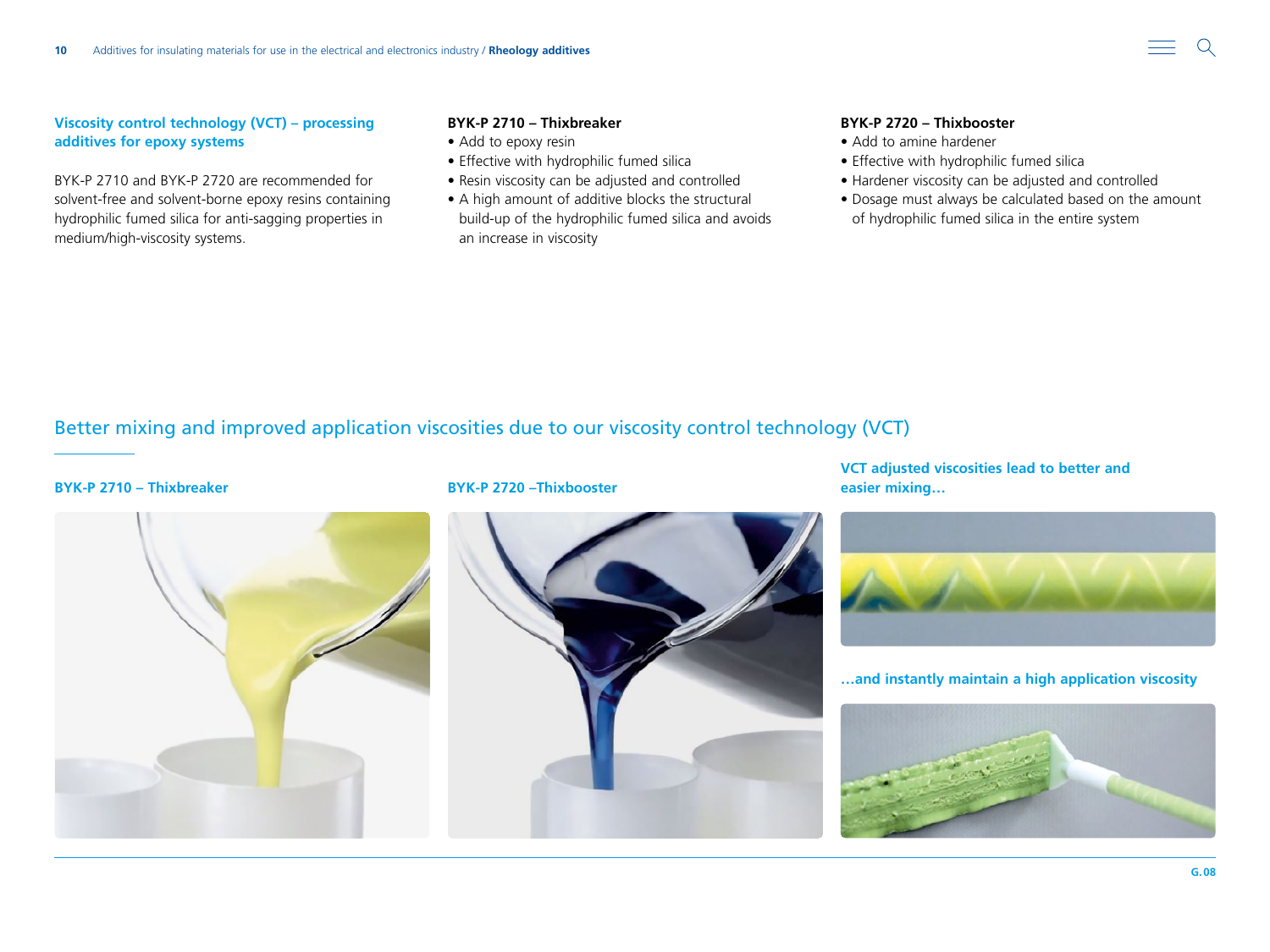

### **Viscosity control technology (VCT) – processing additives for epoxy systems**

BYK-P 2710 and BYK-P 2720 are recommended for solvent-free and solvent-borne epoxy resins containing hydrophilic fumed silica for anti-sagging properties in medium/high-viscosity systems.

### **BYK-P 2710 – Thixbreaker**

- Add to epoxy resin
- Effective with hydrophilic fumed silica
- Resin viscosity can be adjusted and controlled
- A high amount of additive blocks the structural build-up of the hydrophilic fumed silica and avoids an increase in viscosity

### **BYK-P 2720 – Thixbooster**

- Add to amine hardener
- Effective with hydrophilic fumed silica
- Hardener viscosity can be adjusted and controlled
- Dosage must always be calculated based on the amount of hydrophilic fumed silica in the entire system

## Better mixing and improved application viscosities due to our viscosity control technology (VCT)



### **BYK-P 2710 – Thixbreaker BYK-P 2720 –Thixbooster**



**VCT adjusted viscosities lead to better and easier mixing…**



**…and instantly maintain a high application viscosity**

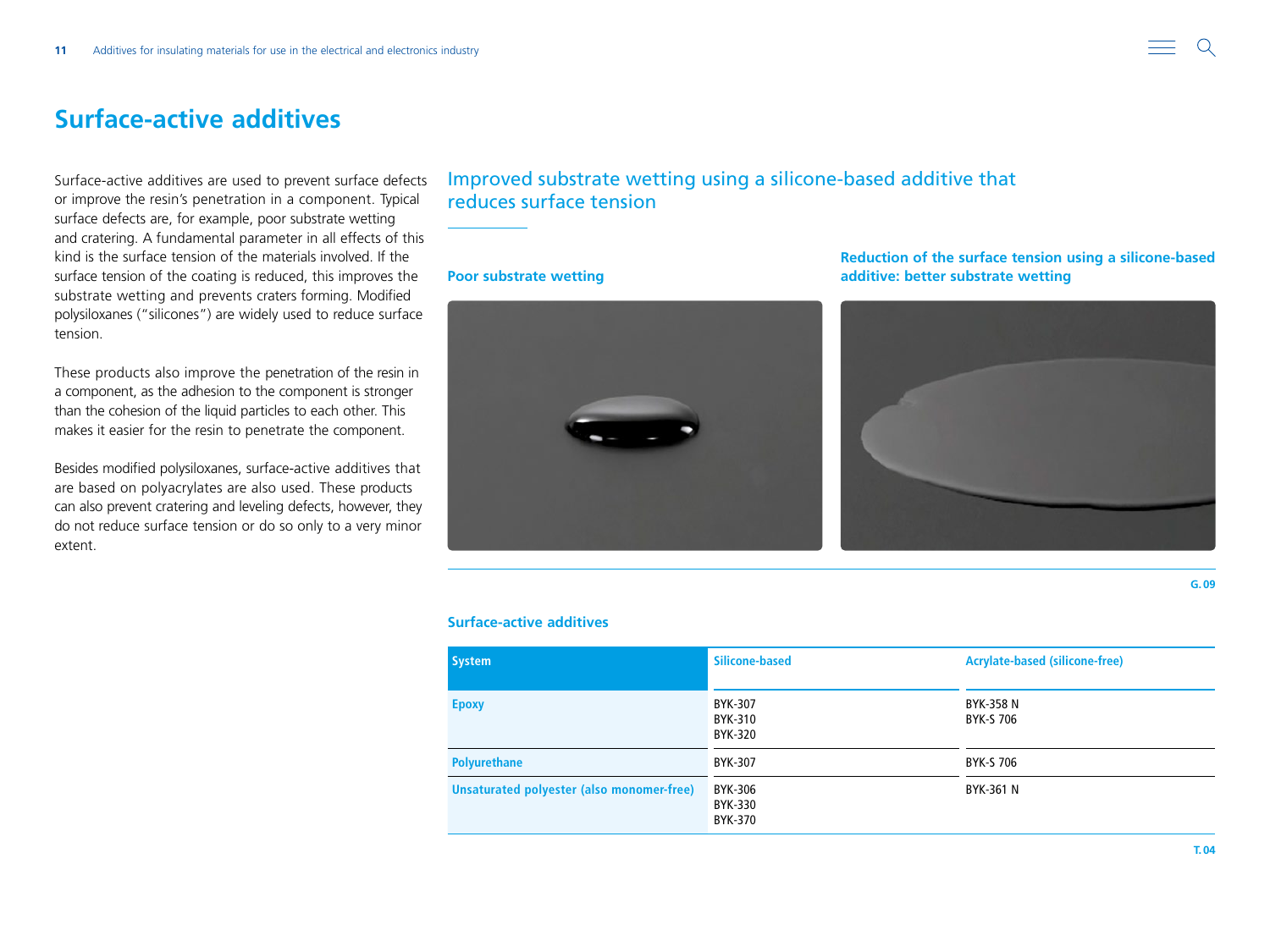# <span id="page-10-0"></span>**Surface-active additives**

Surface-active additives are used to prevent surface defects or improve the resin's penetration in a component. Typical surface defects are, for example, poor substrate wetting and cratering. A fundamental parameter in all effects of this kind is the surface tension of the materials involved. If the surface tension of the coating is reduced, this improves the substrate wetting and prevents craters forming. Modified polysiloxanes ("silicones") are widely used to reduce surface tension.

These products also improve the penetration of the resin in a component, as the adhesion to the component is stronger than the cohesion of the liquid particles to each other. This makes it easier for the resin to penetrate the component.

Besides modified polysiloxanes, surface-active additives that are based on polyacrylates are also used. These products can also prevent cratering and leveling defects, however, they do not reduce surface tension or do so only to a very minor extent.

## Improved substrate wetting using a silicone-based additive that reduces surface tension

### **Poor substrate wetting**



**Reduction of the surface tension using a silicone-based additive: better substrate wetting**



### **Surface-active additives**

| <b>System</b>                             | Silicone-based                       | <b>Acrylate-based (silicone-free)</b> |
|-------------------------------------------|--------------------------------------|---------------------------------------|
| <b>Epoxy</b>                              | BYK-307<br>BYK-310<br><b>BYK-320</b> | BYK-358 N<br>BYK-S 706                |
| <b>Polyurethane</b>                       | BYK-307                              | BYK-S 706                             |
| Unsaturated polyester (also monomer-free) | BYK-306<br>BYK-330<br>BYK-370        | BYK-361 N                             |

**G.09**